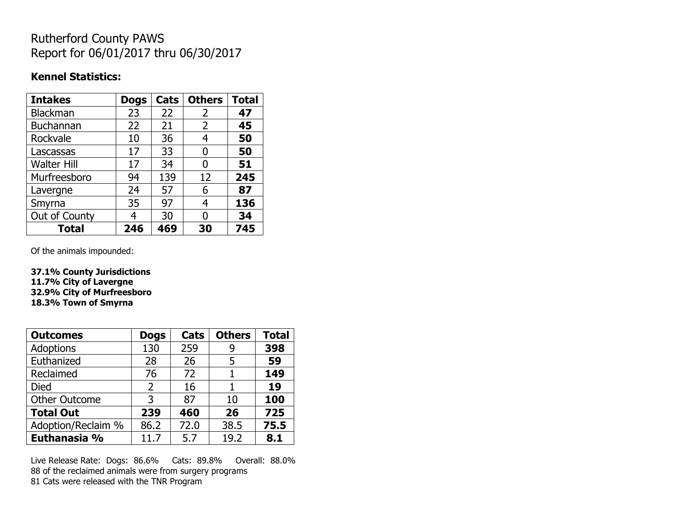## Rutherford County PAWS Report for 06/01/2017 thru 06/30/2017

### **Kennel Statistics:**

| <b>Intakes</b>     | <b>Dogs</b> | Cats | <b>Others</b> | <b>Total</b> |
|--------------------|-------------|------|---------------|--------------|
| <b>Blackman</b>    | 23          | 22   | 2             | 47           |
| <b>Buchannan</b>   | 22          | 21   | 2             | 45           |
| Rockvale           | 10          | 36   | 4             | 50           |
| Lascassas          | 17          | 33   | 0             | 50           |
| <b>Walter Hill</b> | 17          | 34   | 0             | 51           |
| Murfreesboro       | 94          | 139  | 12            | 245          |
| Lavergne           | 24          | 57   | 6             | 87           |
| Smyrna             | 35          | 97   | 4             | 136          |
| Out of County      | 4           | 30   | 0             | 34           |
| <b>Total</b>       | 246         | 469  | 30            | 745          |

Of the animals impounded:

**37.1% County Jurisdictions 11.7% City of Lavergne 32.9% City of Murfreesboro 18.3% Town of Smyrna**

| <b>Outcomes</b>      | <b>Dogs</b> | Cats | <b>Others</b> | <b>Total</b> |
|----------------------|-------------|------|---------------|--------------|
| <b>Adoptions</b>     | 130         | 259  | 9             | 398          |
| Euthanized           | 28          | 26   | 5             | 59           |
| Reclaimed            | 76          | 72   |               | 149          |
| Died                 | 2           | 16   |               | 19           |
| <b>Other Outcome</b> | 3           | 87   | 10            | 100          |
| <b>Total Out</b>     | 239         | 460  | 26            | 725          |
| Adoption/Reclaim %   | 86.2        | 72.0 | 38.5          | 75.5         |
| Euthanasia %         | 11.7        | 5.7  | 19.2          | 8.1          |

Live Release Rate: Dogs: 86.6% Cats: 89.8% Overall: 88.0% 88 of the reclaimed animals were from surgery programs 81 Cats were released with the TNR Program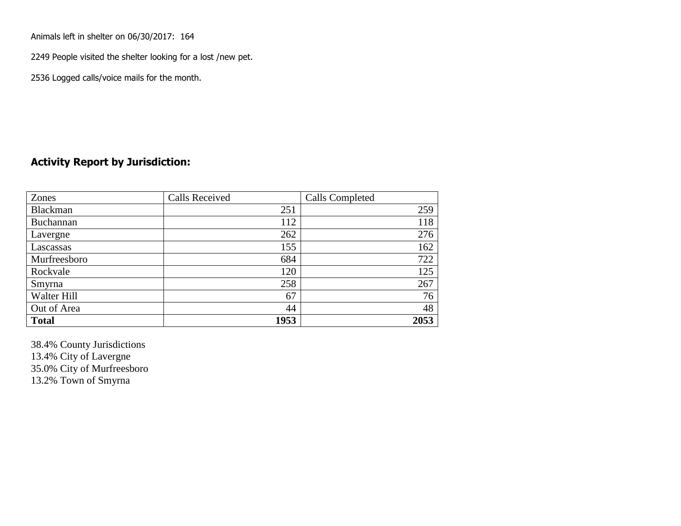Animals left in shelter on 06/30/2017: 164

2249 People visited the shelter looking for a lost /new pet.

2536 Logged calls/voice mails for the month.

#### **Activity Report by Jurisdiction:**

| Zones           | <b>Calls Received</b> | Calls Completed |
|-----------------|-----------------------|-----------------|
| <b>Blackman</b> | 251                   | 259             |
| Buchannan       | 112                   | 118             |
| Lavergne        | 262                   | 276             |
| Lascassas       | 155                   | 162             |
| Murfreesboro    | 684                   | 722             |
| Rockvale        | 120                   | 125             |
| Smyrna          | 258                   | 267             |
| Walter Hill     | 67                    | 76              |
| Out of Area     | 44                    | 48              |
| <b>Total</b>    | 1953                  | 2053            |

38.4% County Jurisdictions 13.4% City of Lavergne 35.0% City of Murfreesboro 13.2% Town of Smyrna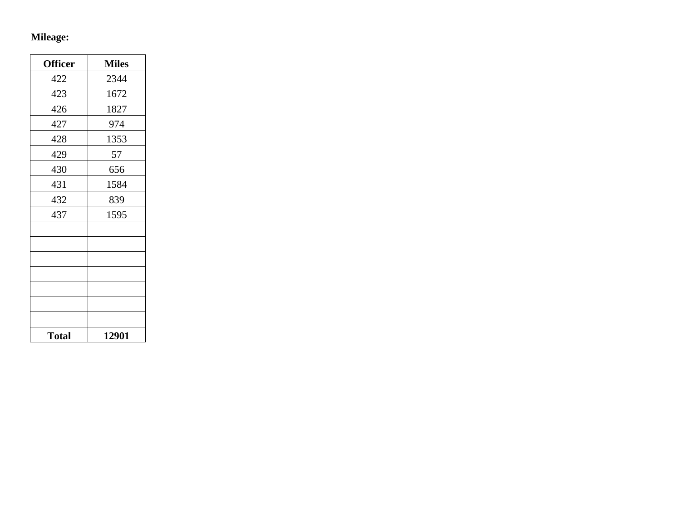# **Mileage:**

| <b>Officer</b> | <b>Miles</b> |
|----------------|--------------|
| 422            | 2344         |
| 423            | 1672         |
| 426            | 1827         |
| 427            | 974          |
| 428            | 1353         |
| 429            | 57           |
| 430            | 656          |
| 431            | 1584         |
| 432            | 839          |
| 437            | 1595         |
|                |              |
|                |              |
|                |              |
|                |              |
|                |              |
|                |              |
|                |              |
| <b>Total</b>   | 12901        |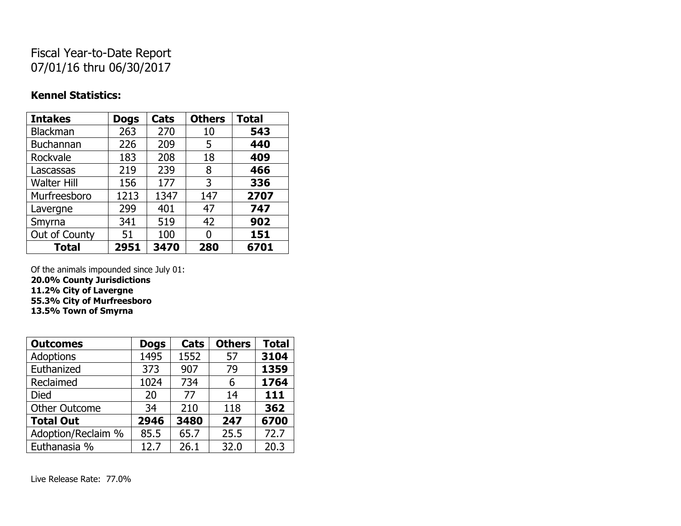## Fiscal Year-to-Date Report 07/01/16 thru 06/30/2017

#### **Kennel Statistics:**

| <b>Intakes</b>     | <b>Dogs</b> | Cats | <b>Others</b> | <b>Total</b> |
|--------------------|-------------|------|---------------|--------------|
| <b>Blackman</b>    | 263         | 270  | 10            | 543          |
| <b>Buchannan</b>   | 226         | 209  | 5             | 440          |
| Rockvale           | 183         | 208  | 18            | 409          |
| Lascassas          | 219         | 239  | 8             | 466          |
| <b>Walter Hill</b> | 156         | 177  | 3             | 336          |
| Murfreesboro       | 1213        | 1347 | 147           | 2707         |
| Lavergne           | 299         | 401  | 47            | 747          |
| Smyrna             | 341         | 519  | 42            | 902          |
| Out of County      | 51          | 100  | U             | 151          |
| <b>Total</b>       | 2951        | 3470 | 280           | 6701         |

Of the animals impounded since July 01: **20.0% County Jurisdictions**

**11.2% City of Lavergne 55.3% City of Murfreesboro**

**13.5% Town of Smyrna**

| <b>Outcomes</b>      | <b>Dogs</b> | Cats | <b>Others</b> | <b>Total</b> |
|----------------------|-------------|------|---------------|--------------|
| <b>Adoptions</b>     | 1495        | 1552 | 57            | 3104         |
| Euthanized           | 373         | 907  | 79            | 1359         |
| Reclaimed            | 1024        | 734  | 6             | 1764         |
| <b>Died</b>          | 20          | 77   | 14            | 111          |
| <b>Other Outcome</b> | 34          | 210  | 118           | 362          |
| <b>Total Out</b>     | 2946        | 3480 | 247           | 6700         |
| Adoption/Reclaim %   | 85.5        | 65.7 | 25.5          | 72.7         |
| Euthanasia %         | 12.7        | 26.1 | 32.0          | 20.3         |

Live Release Rate: 77.0%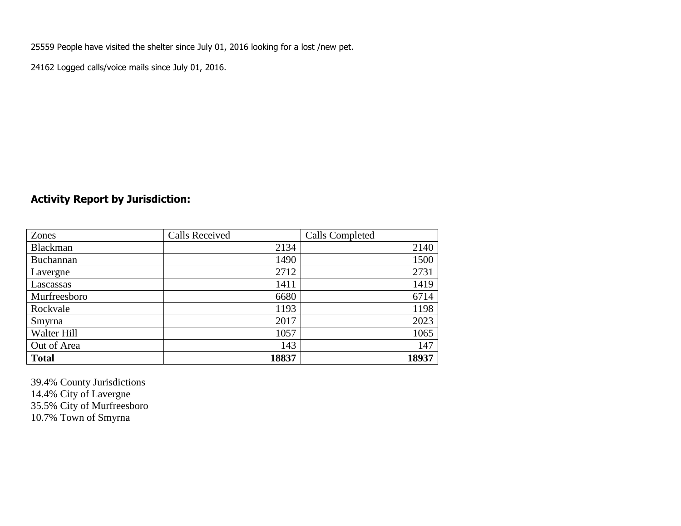25559 People have visited the shelter since July 01, 2016 looking for a lost /new pet.

24162 Logged calls/voice mails since July 01, 2016.

## **Activity Report by Jurisdiction:**

| Zones           | <b>Calls Received</b> | Calls Completed |
|-----------------|-----------------------|-----------------|
| <b>Blackman</b> | 2134                  | 2140            |
| Buchannan       | 1490                  | 1500            |
| Lavergne        | 2712                  | 2731            |
| Lascassas       | 1411                  | 1419            |
| Murfreesboro    | 6680                  | 6714            |
| Rockvale        | 1193                  | 1198            |
| Smyrna          | 2017                  | 2023            |
| Walter Hill     | 1057                  | 1065            |
| Out of Area     | 143                   | 147             |
| <b>Total</b>    | 18837                 | 18937           |

39.4% County Jurisdictions 14.4% City of Lavergne 35.5% City of Murfreesboro 10.7% Town of Smyrna